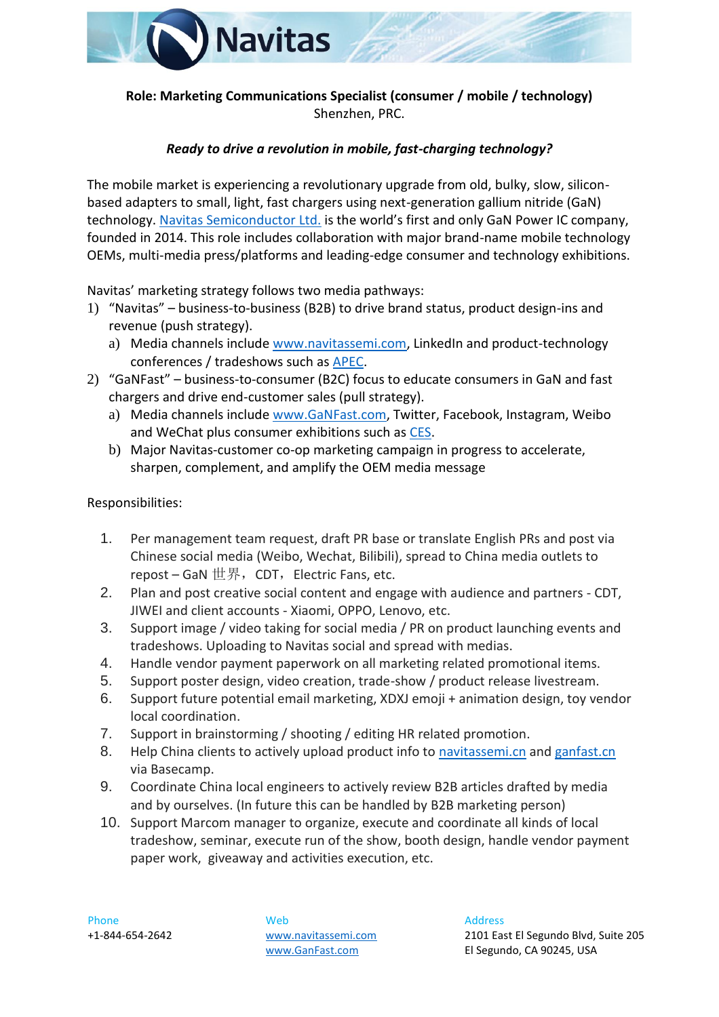

**Role: Marketing Communications Specialist (consumer / mobile / technology)** Shenzhen, PRC.

## *Ready to drive a revolution in mobile, fast-charging technology?*

The mobile market is experiencing a revolutionary upgrade from old, bulky, slow, siliconbased adapters to small, light, fast chargers using next-generation gallium nitride (GaN) technology. [Navitas Semiconductor Ltd.](http://www.navitassemi.com/) is the world's first and only GaN Power IC company, founded in 2014. This role includes collaboration with major brand-name mobile technology OEMs, multi-media press/platforms and leading-edge consumer and technology exhibitions.

Navitas' marketing strategy follows two media pathways:

- 1) "Navitas" business-to-business (B2B) to drive brand status, product design-ins and revenue (push strategy).
	- a) Media channels include [www.navitassemi.com,](http://www.navitassemi.com/) LinkedIn and product-technology conferences / tradeshows such as [APEC.](https://apec-conf.org/)
- 2) "GaNFast" business-to-consumer (B2C) focus to educate consumers in GaN and fast chargers and drive end-customer sales (pull strategy).
	- a) Media channels include [www.GaNFast.com,](http://www.ganfast.com/) Twitter, Facebook, Instagram, Weibo and WeChat plus consumer exhibitions such as [CES.](https://www.ces.tech/)
	- b) Major Navitas-customer co-op marketing campaign in progress to accelerate, sharpen, complement, and amplify the OEM media message

Responsibilities:

- 1. Per management team request, draft PR base or translate English PRs and post via Chinese social media (Weibo, Wechat, Bilibili), spread to China media outlets to repost – GaN 世界, CDT, Electric Fans, etc.
- 2. Plan and post creative social content and engage with audience and partners CDT, JIWEI and client accounts - Xiaomi, OPPO, Lenovo, etc.
- 3. Support image / video taking for social media / PR on product launching events and tradeshows. Uploading to Navitas social and spread with medias.
- 4. Handle vendor payment paperwork on all marketing related promotional items.
- 5. Support poster design, video creation, trade-show / product release livestream.
- 6. Support future potential email marketing, XDXJ emoji + animation design, toy vendor local coordination.
- 7. Support in brainstorming / shooting / editing HR related promotion.
- 8. Help China clients to actively upload product info to [navitassemi.cn](http://navitas.cn/) and [ganfast.cn](http://ganfast.cn/) via Basecamp.
- 9. Coordinate China local engineers to actively review B2B articles drafted by media and by ourselves. (In future this can be handled by B2B marketing person)
- 10. Support Marcom manager to organize, execute and coordinate all kinds of local tradeshow, seminar, execute run of the show, booth design, handle vendor payment paper work, giveaway and activities execution, etc.

Web www.navitassemi.com www.GanFast.com

Address

2101 East El Segundo Blvd, Suite 205 El Segundo, CA 90245, USA